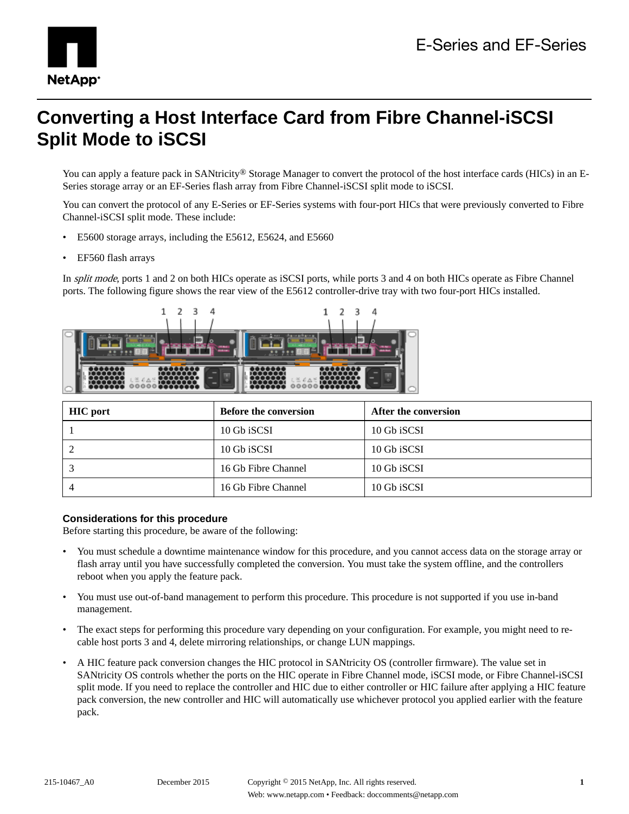

# **Converting a Host Interface Card from Fibre Channel-iSCSI Split Mode to iSCSI**

You can apply a feature pack in SANtricity<sup>®</sup> Storage Manager to convert the protocol of the host interface cards (HICs) in an E-Series storage array or an EF-Series flash array from Fibre Channel-iSCSI split mode to iSCSI.

You can convert the protocol of any E-Series or EF-Series systems with four-port HICs that were previously converted to Fibre Channel-iSCSI split mode. These include:

- E5600 storage arrays, including the E5612, E5624, and E5660
- EF560 flash arrays

In *split mode*, ports 1 and 2 on both HICs operate as iSCSI ports, while ports 3 and 4 on both HICs operate as Fibre Channel ports. The following figure shows the rear view of the E5612 controller-drive tray with two four-port HICs installed.



| <b>HIC</b> port | <b>Before the conversion</b> | After the conversion |
|-----------------|------------------------------|----------------------|
|                 | 10 Gb iSCSI                  | 10 Gb iSCSI          |
|                 | 10 Gb iSCSI                  | 10 Gb iSCSI          |
|                 | 16 Gb Fibre Channel          | 10 Gb iSCSI          |
|                 | 16 Gb Fibre Channel          | 10 Gb iSCSI          |

#### **Considerations for this procedure**

Before starting this procedure, be aware of the following:

- You must schedule a downtime maintenance window for this procedure, and you cannot access data on the storage array or flash array until you have successfully completed the conversion. You must take the system offline, and the controllers reboot when you apply the feature pack.
- You must use out-of-band management to perform this procedure. This procedure is not supported if you use in-band management.
- The exact steps for performing this procedure vary depending on your configuration. For example, you might need to recable host ports 3 and 4, delete mirroring relationships, or change LUN mappings.
- A HIC feature pack conversion changes the HIC protocol in SANtricity OS (controller firmware). The value set in SANtricity OS controls whether the ports on the HIC operate in Fibre Channel mode, iSCSI mode, or Fibre Channel-iSCSI split mode. If you need to replace the controller and HIC due to either controller or HIC failure after applying a HIC feature pack conversion, the new controller and HIC will automatically use whichever protocol you applied earlier with the feature pack.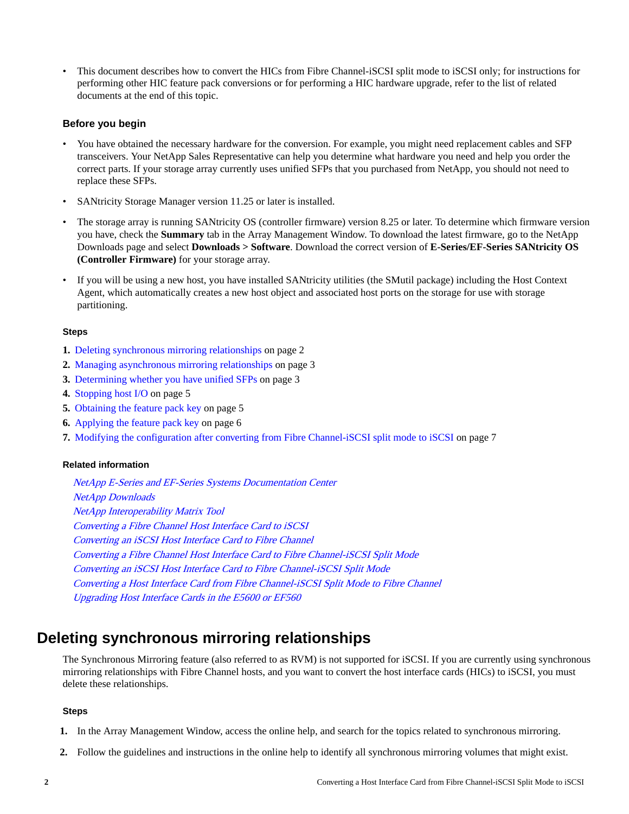• This document describes how to convert the HICs from Fibre Channel-iSCSI split mode to iSCSI only; for instructions for performing other HIC feature pack conversions or for performing a HIC hardware upgrade, refer to the list of related documents at the end of this topic.

#### **Before you begin**

- You have obtained the necessary hardware for the conversion. For example, you might need replacement cables and SFP transceivers. Your NetApp Sales Representative can help you determine what hardware you need and help you order the correct parts. If your storage array currently uses unified SFPs that you purchased from NetApp, you should not need to replace these SFPs.
- SANtricity Storage Manager version 11.25 or later is installed.
- The storage array is running SANtricity OS (controller firmware) version 8.25 or later. To determine which firmware version you have, check the **Summary** tab in the Array Management Window. To download the latest firmware, go to the NetApp Downloads page and select **Downloads > Software**. Download the correct version of **E-Series/EF-Series SANtricity OS (Controller Firmware)** for your storage array.
- If you will be using a new host, you have installed SANtricity utilities (the SMutil package) including the Host Context Agent, which automatically creates a new host object and associated host ports on the storage for use with storage partitioning.

#### **Steps**

- **1.** Deleting synchronous mirroring relationships on page 2
- **2.** [Managing asynchronous mirroring relationships](#page-2-0) on page 3
- **3.** [Determining whether you have unified SFPs](#page-2-0) on page 3
- **4.** [Stopping host I/O](#page-4-0) on page 5
- **5.** [Obtaining the feature pack key](#page-4-0) on page 5
- **6.** [Applying the feature pack key](#page-5-0) on page 6
- **7.** [Modifying the configuration after converting from Fibre Channel-iSCSI split mode to iSCSI](#page-6-0) on page 7

#### **Related information**

[NetApp E-Series and EF-Series Systems Documentation Center](http://mysupport.netapp.com/info/web/ECMP1658252.html) [NetApp Downloads](http://mysupport.netapp.com/eservice/Download.jsp/) [NetApp Interoperability Matrix Tool](http://mysupport.netapp.com/matrix) [Converting a Fibre Channel Host Interface Card to iSCSI](https://library.netapp.com/ecm/ecm_download_file/ECMP12432518) [Converting an iSCSI Host Interface Card to Fibre Channel](https://library.netapp.com/ecm/ecm_download_file/ECMP12396179) [Converting a Fibre Channel Host Interface Card to Fibre Channel-iSCSI Split Mode](https://library.netapp.com/ecm/ecm_download_file/ECMLP2316654) [Converting an iSCSI Host Interface Card to Fibre Channel-iSCSI Split Mode](https://library.netapp.com/ecm/ecm_download_file/ECMLP2316695) [Converting a Host Interface Card from Fibre Channel-iSCSI Split Mode to Fibre Channel](https://library.netapp.com/ecm/ecm_download_file/ECMLP2316704) [Upgrading Host Interface Cards in the E5600 or EF560](https://library.netapp.com/ecm/ecm_download_file/ECMP1552930)

### **Deleting synchronous mirroring relationships**

The Synchronous Mirroring feature (also referred to as RVM) is not supported for iSCSI. If you are currently using synchronous mirroring relationships with Fibre Channel hosts, and you want to convert the host interface cards (HICs) to iSCSI, you must delete these relationships.

#### **Steps**

- **1.** In the Array Management Window, access the online help, and search for the topics related to synchronous mirroring.
- **2.** Follow the guidelines and instructions in the online help to identify all synchronous mirroring volumes that might exist.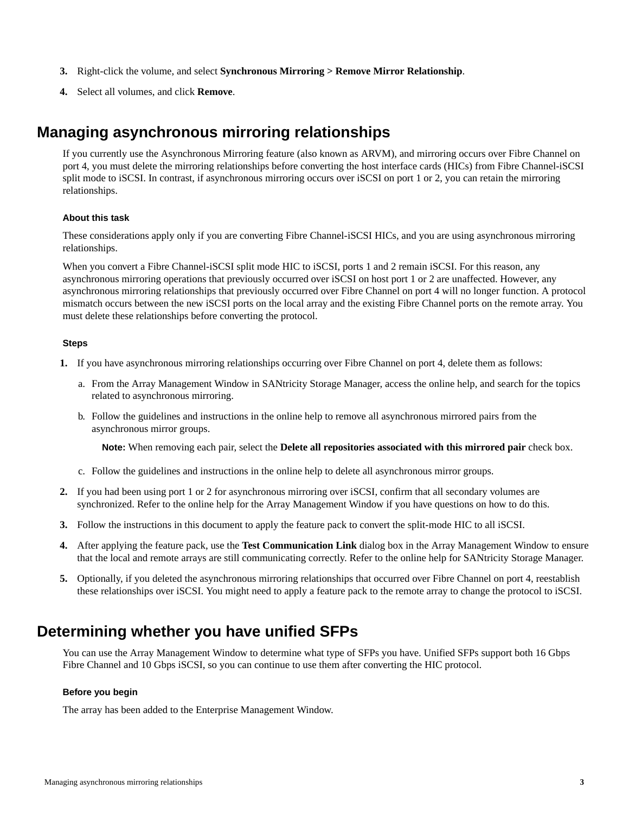- <span id="page-2-0"></span>**3.** Right-click the volume, and select **Synchronous Mirroring > Remove Mirror Relationship**.
- **4.** Select all volumes, and click **Remove**.

### **Managing asynchronous mirroring relationships**

If you currently use the Asynchronous Mirroring feature (also known as ARVM), and mirroring occurs over Fibre Channel on port 4, you must delete the mirroring relationships before converting the host interface cards (HICs) from Fibre Channel-iSCSI split mode to iSCSI. In contrast, if asynchronous mirroring occurs over iSCSI on port 1 or 2, you can retain the mirroring relationships.

#### **About this task**

These considerations apply only if you are converting Fibre Channel-iSCSI HICs, and you are using asynchronous mirroring relationships.

When you convert a Fibre Channel-iSCSI split mode HIC to iSCSI, ports 1 and 2 remain iSCSI. For this reason, any asynchronous mirroring operations that previously occurred over iSCSI on host port 1 or 2 are unaffected. However, any asynchronous mirroring relationships that previously occurred over Fibre Channel on port 4 will no longer function. A protocol mismatch occurs between the new iSCSI ports on the local array and the existing Fibre Channel ports on the remote array. You must delete these relationships before converting the protocol.

#### **Steps**

- **1.** If you have asynchronous mirroring relationships occurring over Fibre Channel on port 4, delete them as follows:
	- a. From the Array Management Window in SANtricity Storage Manager, access the online help, and search for the topics related to asynchronous mirroring.
	- b. Follow the guidelines and instructions in the online help to remove all asynchronous mirrored pairs from the asynchronous mirror groups.

**Note:** When removing each pair, select the **Delete all repositories associated with this mirrored pair** check box.

- c. Follow the guidelines and instructions in the online help to delete all asynchronous mirror groups.
- **2.** If you had been using port 1 or 2 for asynchronous mirroring over iSCSI, confirm that all secondary volumes are synchronized. Refer to the online help for the Array Management Window if you have questions on how to do this.
- **3.** Follow the instructions in this document to apply the feature pack to convert the split-mode HIC to all iSCSI.
- **4.** After applying the feature pack, use the **Test Communication Link** dialog box in the Array Management Window to ensure that the local and remote arrays are still communicating correctly. Refer to the online help for SANtricity Storage Manager.
- **5.** Optionally, if you deleted the asynchronous mirroring relationships that occurred over Fibre Channel on port 4, reestablish these relationships over iSCSI. You might need to apply a feature pack to the remote array to change the protocol to iSCSI.

## **Determining whether you have unified SFPs**

You can use the Array Management Window to determine what type of SFPs you have. Unified SFPs support both 16 Gbps Fibre Channel and 10 Gbps iSCSI, so you can continue to use them after converting the HIC protocol.

#### **Before you begin**

The array has been added to the Enterprise Management Window.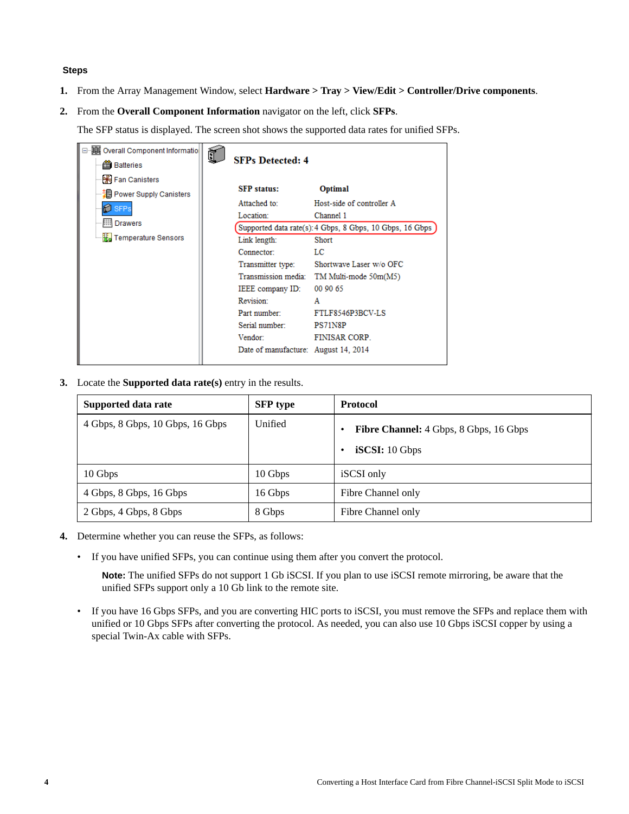#### **Steps**

- **1.** From the Array Management Window, select **Hardware > Tray > View/Edit > Controller/Drive components**.
- **2.** From the **Overall Component Information** navigator on the left, click **SFPs**.

The SFP status is displayed. The screen shot shows the supported data rates for unified SFPs.

| ⊟…) Overall Component Informatio<br><b>当</b> Batteries                                                                           | <b>SFPs Detected: 4</b>                                                                                                                                                                                                  |                                                                                                                                                                                                                                                                                     |
|----------------------------------------------------------------------------------------------------------------------------------|--------------------------------------------------------------------------------------------------------------------------------------------------------------------------------------------------------------------------|-------------------------------------------------------------------------------------------------------------------------------------------------------------------------------------------------------------------------------------------------------------------------------------|
| He Fan Canisters<br>- 2대 Power Supply Canisters<br><b>E</b> SFPs<br><b>IIII</b> Drawers<br>— <mark>‡ि</mark> Temperature Sensors | <b>SFP</b> status:<br>Attached to:<br>Location:<br>Link length:<br>Connector:<br>Transmitter type:<br>IEEE company ID:<br>Revision:<br>Part number:<br>Serial number:<br>Vendor:<br>Date of manufacture: August 14, 2014 | <b>Optimal</b><br>Host-side of controller A<br>Channel 1<br>Supported data rate(s): 4 Gbps, 8 Gbps, 10 Gbps, 16 Gbps<br>Short<br>LC<br>Shortwave Laser w/o OFC<br>Transmission media: TM Multi-mode 50m(M5)<br>00 90 65<br>A<br>FTLF8546P3BCV-LS<br>PS71N8P<br><b>FINISAR CORP.</b> |
|                                                                                                                                  |                                                                                                                                                                                                                          |                                                                                                                                                                                                                                                                                     |

**3.** Locate the **Supported data rate(s)** entry in the results.

| Supported data rate              | <b>SFP</b> type | <b>Protocol</b>                                          |
|----------------------------------|-----------------|----------------------------------------------------------|
| 4 Gbps, 8 Gbps, 10 Gbps, 16 Gbps | Unified         | Fibre Channel: 4 Gbps, 8 Gbps, 16 Gbps<br>iSCSI: 10 Gbps |
| 10 Gbps                          | 10 Gbps         | iSCSI only                                               |
| 4 Gbps, 8 Gbps, 16 Gbps          | 16 Gbps         | Fibre Channel only                                       |
| 2 Gbps, 4 Gbps, 8 Gbps           | 8 Gbps          | Fibre Channel only                                       |

- **4.** Determine whether you can reuse the SFPs, as follows:
	- If you have unified SFPs, you can continue using them after you convert the protocol.

**Note:** The unified SFPs do not support 1 Gb iSCSI. If you plan to use iSCSI remote mirroring, be aware that the unified SFPs support only a 10 Gb link to the remote site.

• If you have 16 Gbps SFPs, and you are converting HIC ports to iSCSI, you must remove the SFPs and replace them with unified or 10 Gbps SFPs after converting the protocol. As needed, you can also use 10 Gbps iSCSI copper by using a special Twin-Ax cable with SFPs.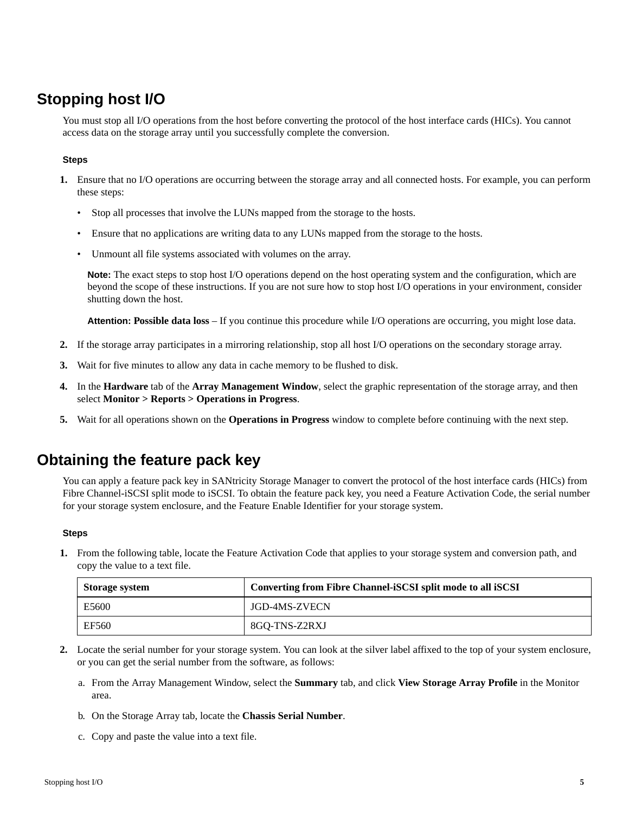## <span id="page-4-0"></span>**Stopping host I/O**

You must stop all I/O operations from the host before converting the protocol of the host interface cards (HICs). You cannot access data on the storage array until you successfully complete the conversion.

#### **Steps**

- **1.** Ensure that no I/O operations are occurring between the storage array and all connected hosts. For example, you can perform these steps:
	- Stop all processes that involve the LUNs mapped from the storage to the hosts.
	- Ensure that no applications are writing data to any LUNs mapped from the storage to the hosts.
	- Unmount all file systems associated with volumes on the array.

**Note:** The exact steps to stop host I/O operations depend on the host operating system and the configuration, which are beyond the scope of these instructions. If you are not sure how to stop host I/O operations in your environment, consider shutting down the host.

**Attention: Possible data loss** – If you continue this procedure while I/O operations are occurring, you might lose data.

- **2.** If the storage array participates in a mirroring relationship, stop all host I/O operations on the secondary storage array.
- **3.** Wait for five minutes to allow any data in cache memory to be flushed to disk.
- **4.** In the **Hardware** tab of the **Array Management Window**, select the graphic representation of the storage array, and then select **Monitor > Reports > Operations in Progress**.
- **5.** Wait for all operations shown on the **Operations in Progress** window to complete before continuing with the next step.

### **Obtaining the feature pack key**

You can apply a feature pack key in SANtricity Storage Manager to convert the protocol of the host interface cards (HICs) from Fibre Channel-iSCSI split mode to iSCSI. To obtain the feature pack key, you need a Feature Activation Code, the serial number for your storage system enclosure, and the Feature Enable Identifier for your storage system.

#### **Steps**

**1.** From the following table, locate the Feature Activation Code that applies to your storage system and conversion path, and copy the value to a text file.

| <b>Storage system</b> | Converting from Fibre Channel-iSCSI split mode to all iSCSI |  |
|-----------------------|-------------------------------------------------------------|--|
| E5600                 | JGD-4MS-ZVECN                                               |  |
| EF560                 | 8GO-TNS-Z2RXJ                                               |  |

- **2.** Locate the serial number for your storage system. You can look at the silver label affixed to the top of your system enclosure, or you can get the serial number from the software, as follows:
	- a. From the Array Management Window, select the **Summary** tab, and click **View Storage Array Profile** in the Monitor area.
	- b. On the Storage Array tab, locate the **Chassis Serial Number**.
	- c. Copy and paste the value into a text file.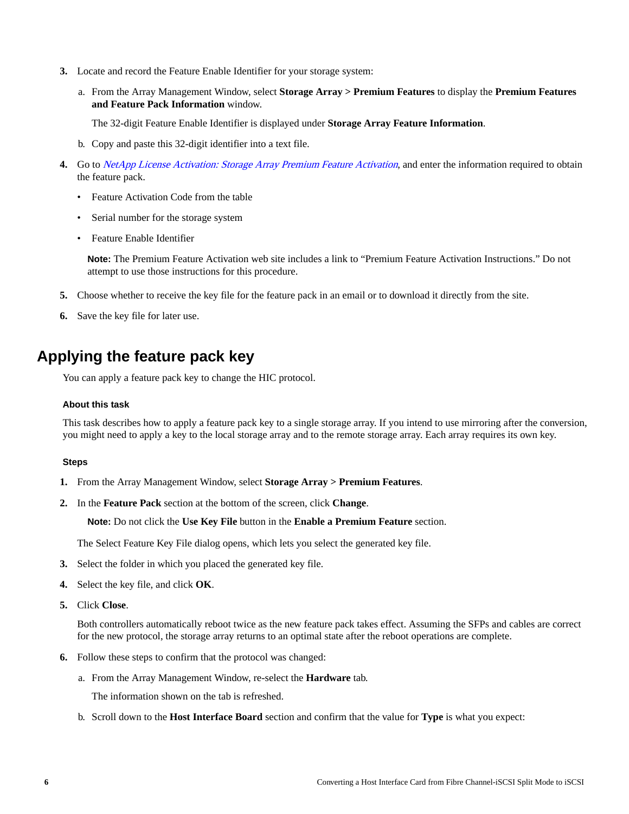- <span id="page-5-0"></span>**3.** Locate and record the Feature Enable Identifier for your storage system:
	- a. From the Array Management Window, select **Storage Array > Premium Features** to display the **Premium Features and Feature Pack Information** window.

The 32-digit Feature Enable Identifier is displayed under **Storage Array Feature Information**.

- b. Copy and paste this 32-digit identifier into a text file.
- **4.** Go to [NetApp License Activation: Storage Array Premium Feature Activation](http://partnerspfk.netapp.com), and enter the information required to obtain the feature pack.
	- Feature Activation Code from the table
	- Serial number for the storage system
	- Feature Enable Identifier

**Note:** The Premium Feature Activation web site includes a link to "Premium Feature Activation Instructions." Do not attempt to use those instructions for this procedure.

- **5.** Choose whether to receive the key file for the feature pack in an email or to download it directly from the site.
- **6.** Save the key file for later use.

### **Applying the feature pack key**

You can apply a feature pack key to change the HIC protocol.

#### **About this task**

This task describes how to apply a feature pack key to a single storage array. If you intend to use mirroring after the conversion, you might need to apply a key to the local storage array and to the remote storage array. Each array requires its own key.

#### **Steps**

- **1.** From the Array Management Window, select **Storage Array > Premium Features**.
- **2.** In the **Feature Pack** section at the bottom of the screen, click **Change**.

**Note:** Do not click the **Use Key File** button in the **Enable a Premium Feature** section.

The Select Feature Key File dialog opens, which lets you select the generated key file.

- **3.** Select the folder in which you placed the generated key file.
- **4.** Select the key file, and click **OK**.
- **5.** Click **Close**.

Both controllers automatically reboot twice as the new feature pack takes effect. Assuming the SFPs and cables are correct for the new protocol, the storage array returns to an optimal state after the reboot operations are complete.

- **6.** Follow these steps to confirm that the protocol was changed:
	- a. From the Array Management Window, re-select the **Hardware** tab.

The information shown on the tab is refreshed.

b. Scroll down to the **Host Interface Board** section and confirm that the value for **Type** is what you expect: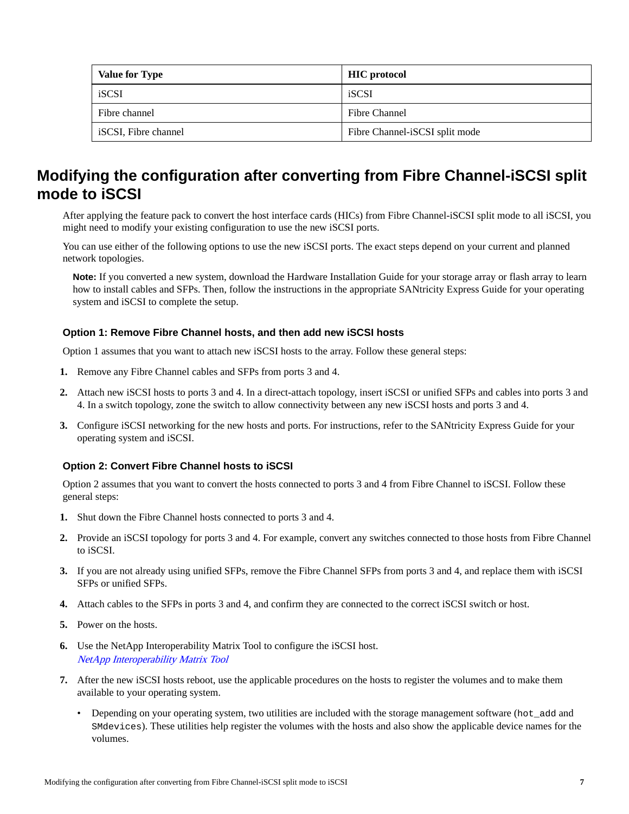<span id="page-6-0"></span>

| <b>Value for Type</b> | <b>HIC</b> protocol            |
|-----------------------|--------------------------------|
| iSCSI                 | iSCSI                          |
| Fibre channel         | Fibre Channel                  |
| iSCSI, Fibre channel  | Fibre Channel-iSCSI split mode |

## **Modifying the configuration after converting from Fibre Channel-iSCSI split mode to iSCSI**

After applying the feature pack to convert the host interface cards (HICs) from Fibre Channel-iSCSI split mode to all iSCSI, you might need to modify your existing configuration to use the new iSCSI ports.

You can use either of the following options to use the new iSCSI ports. The exact steps depend on your current and planned network topologies.

**Note:** If you converted a new system, download the Hardware Installation Guide for your storage array or flash array to learn how to install cables and SFPs. Then, follow the instructions in the appropriate SANtricity Express Guide for your operating system and iSCSI to complete the setup.

#### **Option 1: Remove Fibre Channel hosts, and then add new iSCSI hosts**

Option 1 assumes that you want to attach new iSCSI hosts to the array. Follow these general steps:

- **1.** Remove any Fibre Channel cables and SFPs from ports 3 and 4.
- **2.** Attach new iSCSI hosts to ports 3 and 4. In a direct-attach topology, insert iSCSI or unified SFPs and cables into ports 3 and 4. In a switch topology, zone the switch to allow connectivity between any new iSCSI hosts and ports 3 and 4.
- **3.** Configure iSCSI networking for the new hosts and ports. For instructions, refer to the SANtricity Express Guide for your operating system and iSCSI.

#### **Option 2: Convert Fibre Channel hosts to iSCSI**

Option 2 assumes that you want to convert the hosts connected to ports 3 and 4 from Fibre Channel to iSCSI. Follow these general steps:

- **1.** Shut down the Fibre Channel hosts connected to ports 3 and 4.
- **2.** Provide an iSCSI topology for ports 3 and 4. For example, convert any switches connected to those hosts from Fibre Channel to iSCSI.
- **3.** If you are not already using unified SFPs, remove the Fibre Channel SFPs from ports 3 and 4, and replace them with iSCSI SFPs or unified SFPs.
- **4.** Attach cables to the SFPs in ports 3 and 4, and confirm they are connected to the correct iSCSI switch or host.
- **5.** Power on the hosts.
- **6.** Use the NetApp Interoperability Matrix Tool to configure the iSCSI host. [NetApp Interoperability Matrix Tool](http://mysupport.netapp.com/matrix)
- **7.** After the new iSCSI hosts reboot, use the applicable procedures on the hosts to register the volumes and to make them available to your operating system.
	- Depending on your operating system, two utilities are included with the storage management software (hot\_add and SMdevices). These utilities help register the volumes with the hosts and also show the applicable device names for the volumes.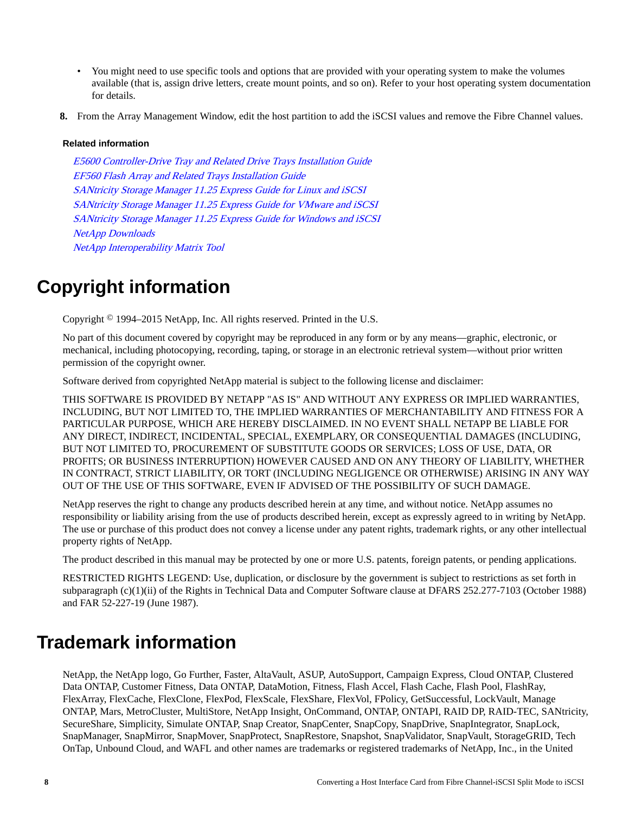- You might need to use specific tools and options that are provided with your operating system to make the volumes available (that is, assign drive letters, create mount points, and so on). Refer to your host operating system documentation for details.
- **8.** From the Array Management Window, edit the host partition to add the iSCSI values and remove the Fibre Channel values.

#### **Related information**

[E5600 Controller-Drive Tray and Related Drive Trays Installation Guide](https://library.netapp.com/ecm/ecm_download_file/ECMP1532527) [EF560 Flash Array and Related Trays Installation Guide](https://library.netapp.com/ecm/ecm_download_file/ECMP1532580) [SANtricity Storage Manager 11.25 Express Guide for Linux and iSCSI](https://library.netapp.com/ecm/ecm_download_file/ECMP12409284) [SANtricity Storage Manager 11.25 Express Guide for VMware and iSCSI](https://library.netapp.com/ecm/ecm_download_file/ECMP12409277) [SANtricity Storage Manager 11.25 Express Guide for Windows and iSCSI](https://library.netapp.com/ecm/ecm_download_file/ECMP12409266) [NetApp Downloads](http://mysupport.netapp.com/eservice/Download.jsp/) [NetApp Interoperability Matrix Tool](http://mysupport.netapp.com/matrix)

# **Copyright information**

Copyright © 1994–2015 NetApp, Inc. All rights reserved. Printed in the U.S.

No part of this document covered by copyright may be reproduced in any form or by any means—graphic, electronic, or mechanical, including photocopying, recording, taping, or storage in an electronic retrieval system—without prior written permission of the copyright owner.

Software derived from copyrighted NetApp material is subject to the following license and disclaimer:

THIS SOFTWARE IS PROVIDED BY NETAPP "AS IS" AND WITHOUT ANY EXPRESS OR IMPLIED WARRANTIES, INCLUDING, BUT NOT LIMITED TO, THE IMPLIED WARRANTIES OF MERCHANTABILITY AND FITNESS FOR A PARTICULAR PURPOSE, WHICH ARE HEREBY DISCLAIMED. IN NO EVENT SHALL NETAPP BE LIABLE FOR ANY DIRECT, INDIRECT, INCIDENTAL, SPECIAL, EXEMPLARY, OR CONSEQUENTIAL DAMAGES (INCLUDING, BUT NOT LIMITED TO, PROCUREMENT OF SUBSTITUTE GOODS OR SERVICES; LOSS OF USE, DATA, OR PROFITS; OR BUSINESS INTERRUPTION) HOWEVER CAUSED AND ON ANY THEORY OF LIABILITY, WHETHER IN CONTRACT, STRICT LIABILITY, OR TORT (INCLUDING NEGLIGENCE OR OTHERWISE) ARISING IN ANY WAY OUT OF THE USE OF THIS SOFTWARE, EVEN IF ADVISED OF THE POSSIBILITY OF SUCH DAMAGE.

NetApp reserves the right to change any products described herein at any time, and without notice. NetApp assumes no responsibility or liability arising from the use of products described herein, except as expressly agreed to in writing by NetApp. The use or purchase of this product does not convey a license under any patent rights, trademark rights, or any other intellectual property rights of NetApp.

The product described in this manual may be protected by one or more U.S. patents, foreign patents, or pending applications.

RESTRICTED RIGHTS LEGEND: Use, duplication, or disclosure by the government is subject to restrictions as set forth in subparagraph (c)(1)(ii) of the Rights in Technical Data and Computer Software clause at DFARS 252.277-7103 (October 1988) and FAR 52-227-19 (June 1987).

# **Trademark information**

NetApp, the NetApp logo, Go Further, Faster, AltaVault, ASUP, AutoSupport, Campaign Express, Cloud ONTAP, Clustered Data ONTAP, Customer Fitness, Data ONTAP, DataMotion, Fitness, Flash Accel, Flash Cache, Flash Pool, FlashRay, FlexArray, FlexCache, FlexClone, FlexPod, FlexScale, FlexShare, FlexVol, FPolicy, GetSuccessful, LockVault, Manage ONTAP, Mars, MetroCluster, MultiStore, NetApp Insight, OnCommand, ONTAP, ONTAPI, RAID DP, RAID-TEC, SANtricity, SecureShare, Simplicity, Simulate ONTAP, Snap Creator, SnapCenter, SnapCopy, SnapDrive, SnapIntegrator, SnapLock, SnapManager, SnapMirror, SnapMover, SnapProtect, SnapRestore, Snapshot, SnapValidator, SnapVault, StorageGRID, Tech OnTap, Unbound Cloud, and WAFL and other names are trademarks or registered trademarks of NetApp, Inc., in the United